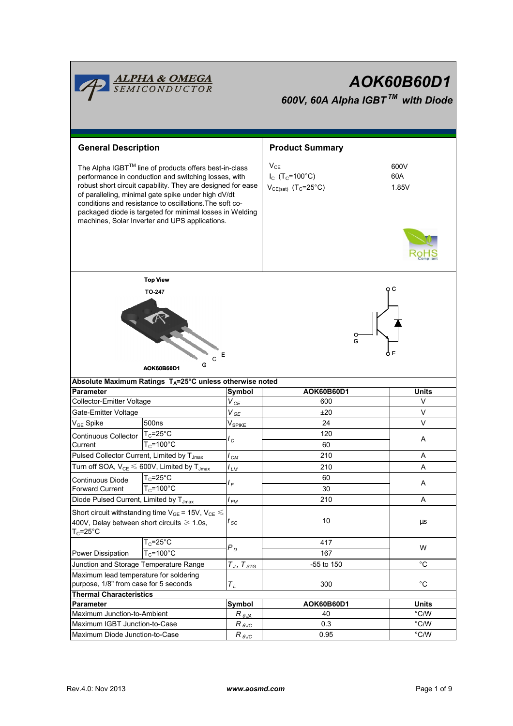|                                                                                                                                                                                                                                                                                                                                                                                                              | <b>ALPHA &amp; OMEGA</b><br>SEMICONDUCTOR                            |                               | AOK60B60D1<br>600V, 60A Alpha IGBT <sup>TM</sup> with Diode                       |                      |  |  |  |  |
|--------------------------------------------------------------------------------------------------------------------------------------------------------------------------------------------------------------------------------------------------------------------------------------------------------------------------------------------------------------------------------------------------------------|----------------------------------------------------------------------|-------------------------------|-----------------------------------------------------------------------------------|----------------------|--|--|--|--|
| <b>General Description</b>                                                                                                                                                                                                                                                                                                                                                                                   |                                                                      |                               | <b>Product Summary</b>                                                            |                      |  |  |  |  |
| The Alpha IGBT™ line of products offers best-in-class<br>performance in conduction and switching losses, with<br>robust short circuit capability. They are designed for ease<br>of paralleling, minimal gate spike under high dV/dt<br>conditions and resistance to oscillations. The soft co-<br>packaged diode is targeted for minimal losses in Welding<br>machines, Solar Inverter and UPS applications. |                                                                      |                               | $V_{CE}$<br>$I_c$ (T <sub>C</sub> =100°C)<br>$V_{CE(sat)}$ (T <sub>C</sub> =25°C) | 600V<br>60A<br>1.85V |  |  |  |  |
| <b>Top View</b><br><b>TO-247</b><br>Е<br>G<br>AOK60B60D1                                                                                                                                                                                                                                                                                                                                                     |                                                                      |                               |                                                                                   |                      |  |  |  |  |
|                                                                                                                                                                                                                                                                                                                                                                                                              | Absolute Maximum Ratings T <sub>A</sub> =25°C unless otherwise noted |                               |                                                                                   |                      |  |  |  |  |
| <b>Parameter</b>                                                                                                                                                                                                                                                                                                                                                                                             |                                                                      | Symbol                        | AOK60B60D1                                                                        | <b>Units</b>         |  |  |  |  |
| Collector-Emitter Voltage                                                                                                                                                                                                                                                                                                                                                                                    |                                                                      | $V_{\textit{CE}}$             | 600                                                                               | V                    |  |  |  |  |
| Gate-Emitter Voltage                                                                                                                                                                                                                                                                                                                                                                                         |                                                                      | $V_{GE}$                      | ±20                                                                               | $\vee$               |  |  |  |  |
| $\rm V_{GE}$ Spike                                                                                                                                                                                                                                                                                                                                                                                           | 500 <sub>ns</sub>                                                    | $\mathsf{V}_{\mathsf{SPIKE}}$ | 24                                                                                | $\vee$               |  |  |  |  |
| Continuous Collector                                                                                                                                                                                                                                                                                                                                                                                         | $T_c = 25^{\circ}C$                                                  | l c                           | 120                                                                               | Α                    |  |  |  |  |
| Current                                                                                                                                                                                                                                                                                                                                                                                                      | $T_c = 100^{\circ}$ C                                                |                               | 60                                                                                |                      |  |  |  |  |
| Pulsed Collector Current, Limited by T <sub>Jmax</sub>                                                                                                                                                                                                                                                                                                                                                       |                                                                      | $I_{CM}$                      | 210                                                                               | A                    |  |  |  |  |
| Turn off SOA, $V_{CE} \leq 600V$ , Limited by $T_{Jmax}$                                                                                                                                                                                                                                                                                                                                                     |                                                                      | l <sub>LM</sub>               | 210                                                                               | Α                    |  |  |  |  |
| Continuous Diode                                                                                                                                                                                                                                                                                                                                                                                             | $T_c = 25$ °C                                                        | I F                           | 60                                                                                | Α                    |  |  |  |  |
| <b>Forward Current</b>                                                                                                                                                                                                                                                                                                                                                                                       | $T_c = 100^{\circ}$ C                                                |                               | 30                                                                                |                      |  |  |  |  |
| Diode Pulsed Current, Limited by T <sub>Jmax</sub>                                                                                                                                                                                                                                                                                                                                                           |                                                                      | l <sub>FM</sub>               | 210                                                                               | Α                    |  |  |  |  |
| Short circuit withstanding time $V_{GE}$ = 15V, $V_{CE} \le$<br>400V, Delay between short circuits $\geq 1.0$ s,<br>$\mathsf{T}_{\mathbb C}$ =25°C                                                                                                                                                                                                                                                           |                                                                      | $t_{\rm sc}$                  | 10                                                                                | $\mu s$              |  |  |  |  |
|                                                                                                                                                                                                                                                                                                                                                                                                              | $T_c = 25$ °C                                                        | $P_D$                         | 417                                                                               | W                    |  |  |  |  |
| Power Dissipation                                                                                                                                                                                                                                                                                                                                                                                            | $T_c = 100^{\circ}$ C                                                |                               | 167                                                                               |                      |  |  |  |  |
| Junction and Storage Temperature Range                                                                                                                                                                                                                                                                                                                                                                       |                                                                      | $T_J, \ T_{STG}$              | -55 to 150                                                                        | $^{\circ}C$          |  |  |  |  |
| Maximum lead temperature for soldering<br>purpose, 1/8" from case for 5 seconds                                                                                                                                                                                                                                                                                                                              |                                                                      | $\tau_{\scriptscriptstyle L}$ | 300                                                                               | $^{\circ}C$          |  |  |  |  |
| <b>Thermal Characteristics</b>                                                                                                                                                                                                                                                                                                                                                                               |                                                                      |                               |                                                                                   |                      |  |  |  |  |
| Parameter                                                                                                                                                                                                                                                                                                                                                                                                    |                                                                      | Symbol                        | AOK60B60D1                                                                        | <b>Units</b>         |  |  |  |  |
| Maximum Junction-to-Ambient                                                                                                                                                                                                                                                                                                                                                                                  |                                                                      | $R_{\theta JA}$               | 40                                                                                | $^{\circ}$ C/W       |  |  |  |  |
| Maximum IGBT Junction-to-Case                                                                                                                                                                                                                                                                                                                                                                                |                                                                      | $R_{\theta \text{JC}}$        | 0.3                                                                               | °C/W                 |  |  |  |  |
| Maximum Diode Junction-to-Case                                                                                                                                                                                                                                                                                                                                                                               |                                                                      | $R_{\theta \underline{J}C}$   | 0.95                                                                              | $^{\circ}$ C/W       |  |  |  |  |

ï

h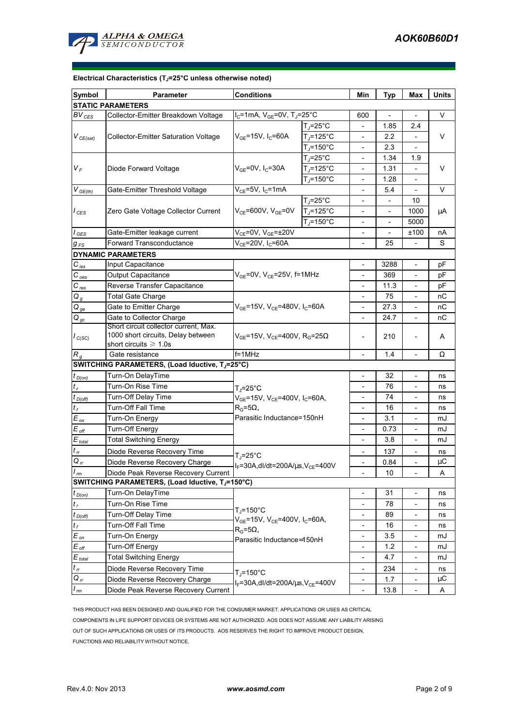

#### **Electrical Characteristics (TJ=25°C unless otherwise noted)**

| Symbol                        | <b>Parameter</b>                                                                                           | <b>Conditions</b>                                                                                                              |                               |                          | <b>Typ</b>                   | Max                          | <b>Units</b> |  |  |  |  |
|-------------------------------|------------------------------------------------------------------------------------------------------------|--------------------------------------------------------------------------------------------------------------------------------|-------------------------------|--------------------------|------------------------------|------------------------------|--------------|--|--|--|--|
| <b>STATIC PARAMETERS</b>      |                                                                                                            |                                                                                                                                |                               |                          |                              |                              |              |  |  |  |  |
| $BV_{CES}$                    | Collector-Emitter Breakdown Voltage                                                                        | $I_C$ =1mA, $V_{GE}$ =0V, T <sub>J</sub> =25°C                                                                                 |                               | 600                      |                              | $\overline{\phantom{a}}$     | V            |  |  |  |  |
| $V_{CE(sat)}$                 | <b>Collector-Emitter Saturation Voltage</b>                                                                |                                                                                                                                | $T_{\parallel} = 25^{\circ}C$ | $\overline{\phantom{a}}$ | 1.85                         | 2.4                          | V            |  |  |  |  |
|                               |                                                                                                            | $V_{GE}$ =15V, I <sub>C</sub> =60A                                                                                             | $T_J = 125$ °C                |                          | 2.2                          |                              |              |  |  |  |  |
|                               |                                                                                                            |                                                                                                                                | $T_i = 150^{\circ}$ C         | $\overline{\phantom{a}}$ | 2.3                          | $\overline{a}$               |              |  |  |  |  |
| $V_F$                         | Diode Forward Voltage                                                                                      | $V_{GE}$ =0V, I <sub>C</sub> =30A                                                                                              | $T_1 = 25^{\circ}C$           |                          | 1.34                         | 1.9                          | V            |  |  |  |  |
|                               |                                                                                                            |                                                                                                                                | $T_d = 125^{\circ}C$          |                          | 1.31                         |                              |              |  |  |  |  |
|                               |                                                                                                            |                                                                                                                                | $T_i = 150^{\circ}$ C         | $\overline{\phantom{a}}$ | 1.28                         |                              |              |  |  |  |  |
| $V_{GE(th)}$                  | Gate-Emitter Threshold Voltage                                                                             | $V_{CE}$ =5V, I <sub>C</sub> =1mA                                                                                              |                               |                          | 5.4                          | $\overline{\phantom{0}}$     | V            |  |  |  |  |
| $I_{CES}$                     | Zero Gate Voltage Collector Current                                                                        | $V_{CE}$ =600V, $V_{GE}$ =0V                                                                                                   | $T_{J} = 25^{\circ}C$         |                          |                              | 10                           | μA           |  |  |  |  |
|                               |                                                                                                            |                                                                                                                                | $T_i = 125$ °C                |                          |                              | 1000                         |              |  |  |  |  |
|                               |                                                                                                            |                                                                                                                                | $T_J = 150^{\circ}$ C         | $\overline{\phantom{a}}$ |                              | 5000                         |              |  |  |  |  |
| $I_{GES}$                     | Gate-Emitter leakage current                                                                               | $V_{CE}$ =0V, $V_{GE}$ =±20V                                                                                                   |                               | $\overline{\phantom{a}}$ |                              | ±100                         | nА           |  |  |  |  |
| $g_{FS}$                      | Forward Transconductance                                                                                   | $V_{CE}$ =20V, I <sub>C</sub> =60A                                                                                             |                               | 25                       |                              | S                            |              |  |  |  |  |
|                               | <b>DYNAMIC PARAMETERS</b>                                                                                  |                                                                                                                                |                               |                          |                              |                              |              |  |  |  |  |
| $C_{\text{ies}}$              | Input Capacitance                                                                                          |                                                                                                                                | $\overline{\phantom{a}}$      | 3288                     | $\qquad \qquad \blacksquare$ | рF                           |              |  |  |  |  |
| $C_{\text{oes}}$              | Output Capacitance                                                                                         | $V_{GE}$ =0V, $V_{CE}$ =25V, f=1MHz                                                                                            | $\overline{\phantom{a}}$      | 369                      | $\overline{\phantom{a}}$     | рF                           |              |  |  |  |  |
| $C_{res}$                     | Reverse Transfer Capacitance                                                                               |                                                                                                                                | $\overline{\phantom{a}}$      | 11.3                     | $\overline{\phantom{a}}$     | рF                           |              |  |  |  |  |
| $Q_g$                         | <b>Total Gate Charge</b>                                                                                   |                                                                                                                                |                               |                          | 75                           | $\overline{\phantom{0}}$     | nС           |  |  |  |  |
| $Q_{ge}$                      | Gate to Emitter Charge                                                                                     | $V_{GE}$ =15V, V <sub>CE</sub> =480V, I <sub>C</sub> =60A                                                                      | $\overline{\phantom{a}}$      | 27.3                     | $\overline{\phantom{0}}$     | nС                           |              |  |  |  |  |
| $Q_{gc}$                      | Gate to Collector Charge                                                                                   |                                                                                                                                | $\overline{\phantom{a}}$      | 24.7                     | $\frac{1}{2}$                | nС                           |              |  |  |  |  |
| $I_{C(SC)}$                   | Short circuit collector current, Max.<br>1000 short circuits, Delay between<br>short circuits $\geq 1.0$ s | $V_{GE}$ =15V, V <sub>CE</sub> =400V, R <sub>G</sub> =25 $\Omega$                                                              | $\overline{\phantom{a}}$      | 210                      | $\overline{a}$               | A                            |              |  |  |  |  |
| $R_q$                         | Gate resistance                                                                                            | $f = 1$ MHz                                                                                                                    |                               |                          | 1.4                          |                              | Ω            |  |  |  |  |
|                               | SWITCHING PARAMETERS, (Load Iductive, TJ=25°C)                                                             |                                                                                                                                |                               |                          |                              |                              |              |  |  |  |  |
| $t_{D(0n)}$                   | Turn-On DelayTime                                                                                          |                                                                                                                                |                               | $\overline{a}$           | 32                           | $\qquad \qquad \blacksquare$ | ns           |  |  |  |  |
| $t_{r}$                       | Turn-On Rise Time                                                                                          | $T_J = 25$ °C                                                                                                                  |                               | 76                       | $\overline{a}$               | ns                           |              |  |  |  |  |
| $t_{D(Off)}$                  | Turn-Off Delay Time                                                                                        | $V_{GE}$ =15V, $V_{CE}$ =400V, I <sub>C</sub> =60A,                                                                            |                               | 74                       |                              | ns                           |              |  |  |  |  |
| $t_f$                         | <b>Turn-Off Fall Time</b>                                                                                  | $R_G = 5\Omega,$                                                                                                               |                               | 16                       |                              | ns                           |              |  |  |  |  |
| $E_{on}$                      | Turn-On Energy                                                                                             | Parasitic Inductance=150nH                                                                                                     |                               | 3.1                      |                              | mJ                           |              |  |  |  |  |
| $E_{\rm off}$                 | Turn-Off Energy                                                                                            |                                                                                                                                | $\overline{\phantom{a}}$      | 0.73                     | $\qquad \qquad -$            | mJ                           |              |  |  |  |  |
| $E_{\text{total}}$            | <b>Total Switching Energy</b>                                                                              |                                                                                                                                | $\overline{\phantom{0}}$      | 3.8                      |                              | mJ                           |              |  |  |  |  |
| $t_{\scriptscriptstyle{H}}$   | Diode Reverse Recovery Time                                                                                |                                                                                                                                |                               |                          | 137                          | $\overline{\phantom{a}}$     | ns           |  |  |  |  |
| $Q_{\pi}$                     | Diode Reverse Recovery Charge                                                                              | $T_{\rm J}$ =25°C                                                                                                              |                               | 0.84                     | $\overline{\phantom{0}}$     | μC                           |              |  |  |  |  |
| $\overline{I_{\frac{rm}{2}}}$ | Diode Peak Reverse Recovery Current                                                                        | $I_F = 30A$ , dl/dt=200A/ $\mu$ s, V <sub>CE</sub> =400V                                                                       |                               |                          | $10$                         |                              | Α            |  |  |  |  |
|                               | SWITCHING PARAMETERS, (Load Iductive, TJ=150°C)                                                            |                                                                                                                                |                               |                          |                              |                              |              |  |  |  |  |
| $t_{D(0n)}$                   | Turn-On DelayTime                                                                                          |                                                                                                                                |                               |                          | 31                           | $\qquad \qquad \blacksquare$ | ns           |  |  |  |  |
| $t_{r}$                       | Turn-On Rise Time                                                                                          | $T_i = 150^{\circ}$ C<br>$V_{GE}$ =15V, $V_{CE}$ =400V, I <sub>C</sub> =60A,<br>$R_G = 5\Omega,$<br>Parasitic Inductance=150nH |                               | $\overline{\phantom{a}}$ | 78                           | $\overline{\phantom{0}}$     | ns           |  |  |  |  |
| $t_{D(Off)}$                  | Turn-Off Delay Time                                                                                        |                                                                                                                                |                               | $\overline{\phantom{a}}$ | 89                           | $\overline{\phantom{0}}$     | ns           |  |  |  |  |
| $t_f$                         | Turn-Off Fall Time                                                                                         |                                                                                                                                |                               | $\overline{\phantom{a}}$ | 16                           |                              | ns           |  |  |  |  |
| $E_{on}$                      | Turn-On Energy                                                                                             |                                                                                                                                |                               | $\overline{\phantom{a}}$ | 3.5                          |                              | mJ           |  |  |  |  |
| $E_{\text{off}}$              | Turn-Off Energy                                                                                            |                                                                                                                                |                               | $\blacksquare$           | 1.2                          | $\overline{\phantom{a}}$     | mJ           |  |  |  |  |
| $E_{total}$                   | <b>Total Switching Energy</b>                                                                              |                                                                                                                                |                               |                          | 4.7                          |                              | mJ           |  |  |  |  |
| $t_{rr}$                      | Diode Reverse Recovery Time                                                                                |                                                                                                                                |                               |                          | 234                          |                              | ns           |  |  |  |  |
| $Q_{rr}$                      | Diode Reverse Recovery Charge                                                                              | $T_{\parallel}$ =150°C<br>$I_F = 30A$ , dl/dt=200A/ $\mu$ s, V <sub>CE</sub> =400V                                             |                               |                          | 1.7                          |                              | μC           |  |  |  |  |
| $I_{rm}$                      | Diode Peak Reverse Recovery Current                                                                        |                                                                                                                                |                               | $\overline{\phantom{a}}$ | 13.8                         | $\overline{a}$               | A            |  |  |  |  |
|                               |                                                                                                            |                                                                                                                                |                               |                          |                              |                              |              |  |  |  |  |

THIS PRODUCT HAS BEEN DESIGNED AND QUALIFIED FOR THE CONSUMER MARKET. APPLICATIONS OR USES AS CRITICAL COMPONENTS IN LIFE SUPPORT DEVICES OR SYSTEMS ARE NOT AUTHORIZED. AOS DOES NOT ASSUME ANY LIABILITY ARISING OUT OF SUCH APPLICATIONS OR USES OF ITS PRODUCTS. AOS RESERVES THE RIGHT TO IMPROVE PRODUCT DESIGN, FUNCTIONS AND RELIABILITY WITHOUT NOTICE.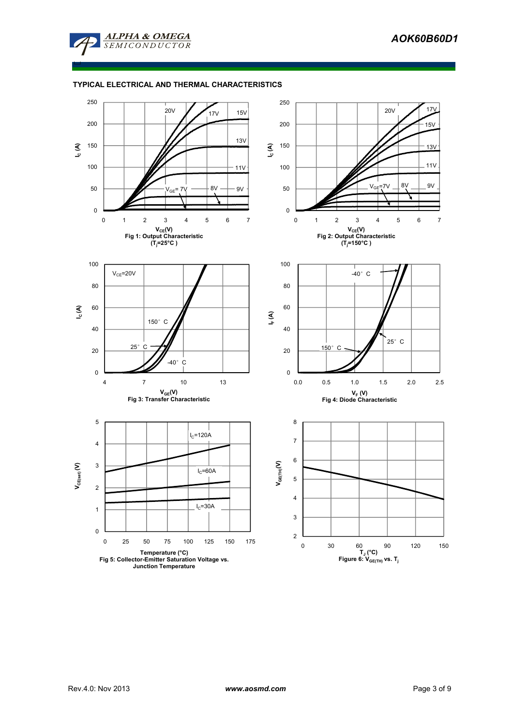

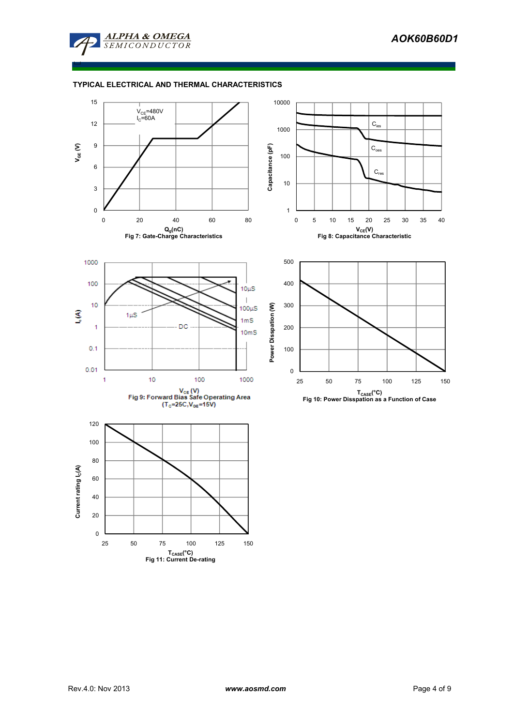

□

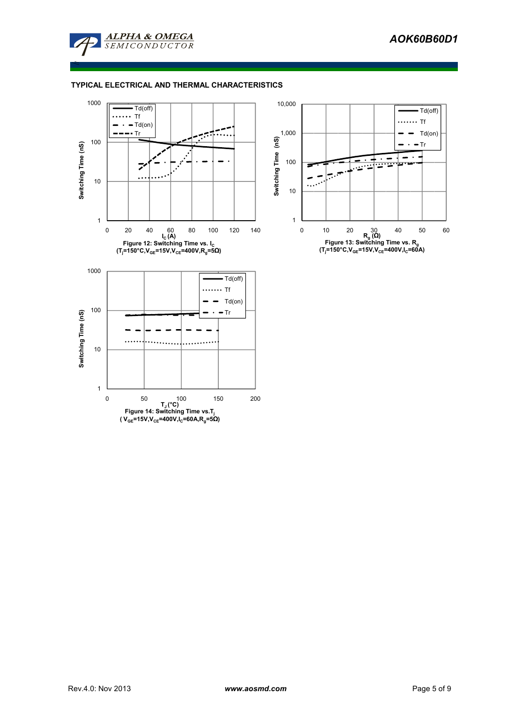

≤

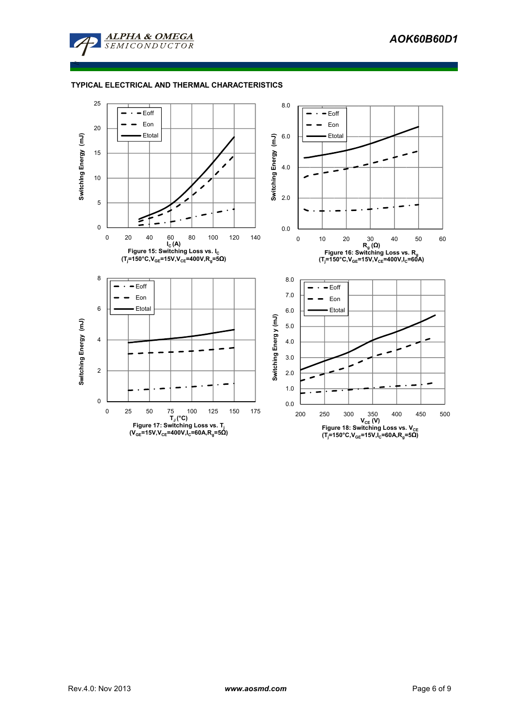

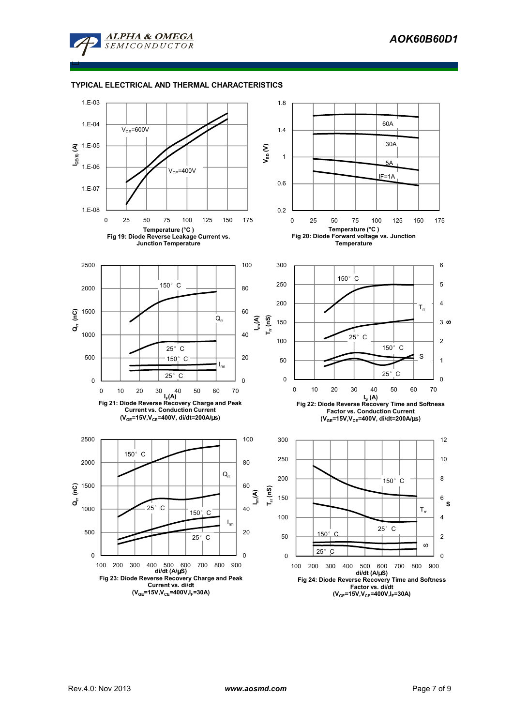

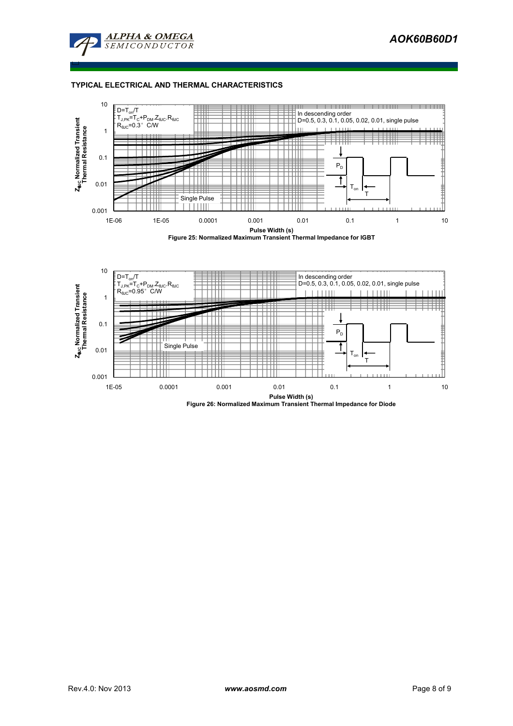

□